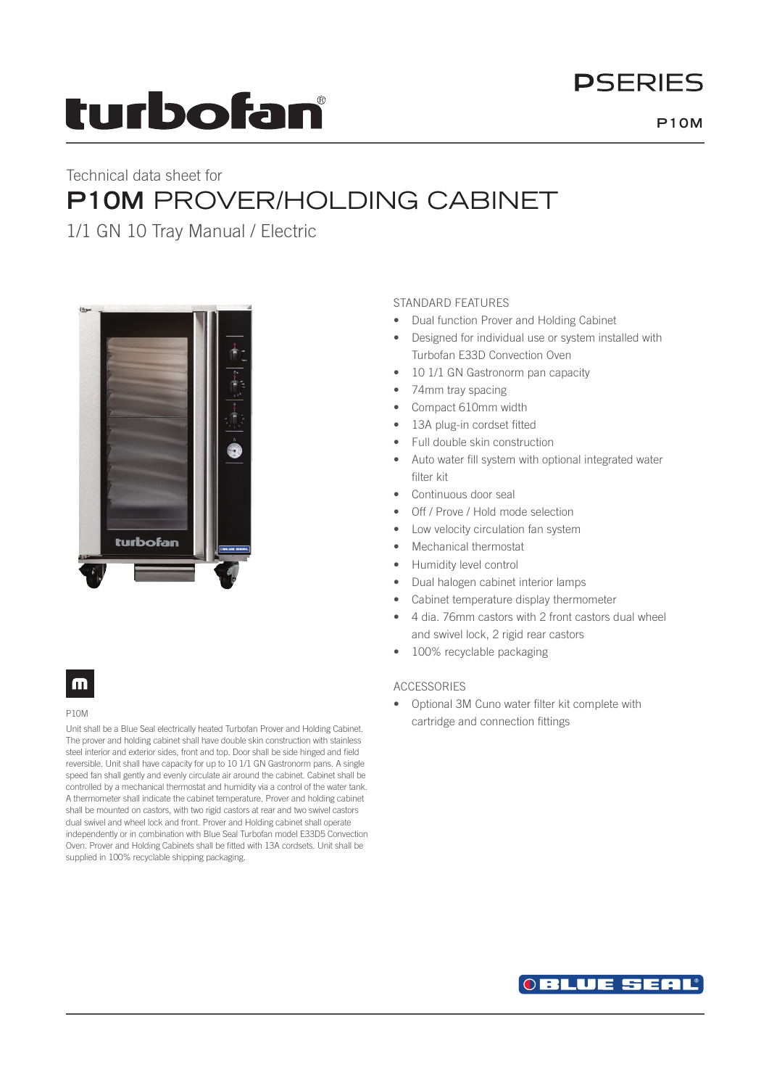# **DSFRIFS**

# turbofan

## Technical data sheet for **P10M** PROVER/HOLDING CABINET

1/1 GN 10 Tray Manual / Electric



## m

#### P10M

Unit shall be a Blue Seal electrically heated Turbofan Prover and Holding Cabinet. The prover and holding cabinet shall have double skin construction with stainless steel interior and exterior sides, front and top. Door shall be side hinged and field reversible. Unit shall have capacity for up to 10 1/1 GN Gastronorm pans. A single speed fan shall gently and evenly circulate air around the cabinet. Cabinet shall be controlled by a mechanical thermostat and humidity via a control of the water tank. A thermometer shall indicate the cabinet temperature. Prover and holding cabinet shall be mounted on castors, with two rigid castors at rear and two swivel castors dual swivel and wheel lock and front. Prover and Holding cabinet shall operate independently or in combination with Blue Seal Turbofan model E33D5 Convection Oven. Prover and Holding Cabinets shall be fitted with 13A cordsets. Unit shall be supplied in 100% recyclable shipping packaging.

## STANDARD FEATURES

- Dual function Prover and Holding Cabinet
- Designed for individual use or system installed with Turbofan E33D Convection Oven
- 10 1/1 GN Gastronorm pan capacity
- 74mm tray spacing
- Compact 610mm width
- 13A plug-in cordset fitted
- Full double skin construction
- Auto water fill system with optional integrated water filter kit
- Continuous door seal
- Off / Prove / Hold mode selection
- Low velocity circulation fan system
- Mechanical thermostat
- Humidity level control
- Dual halogen cabinet interior lamps
- Cabinet temperature display thermometer
- 4 dia. 76mm castors with 2 front castors dual wheel and swivel lock, 2 rigid rear castors
- 100% recyclable packaging

## ACCESSORIES

• Optional 3M Cuno water filter kit complete with cartridge and connection fittings